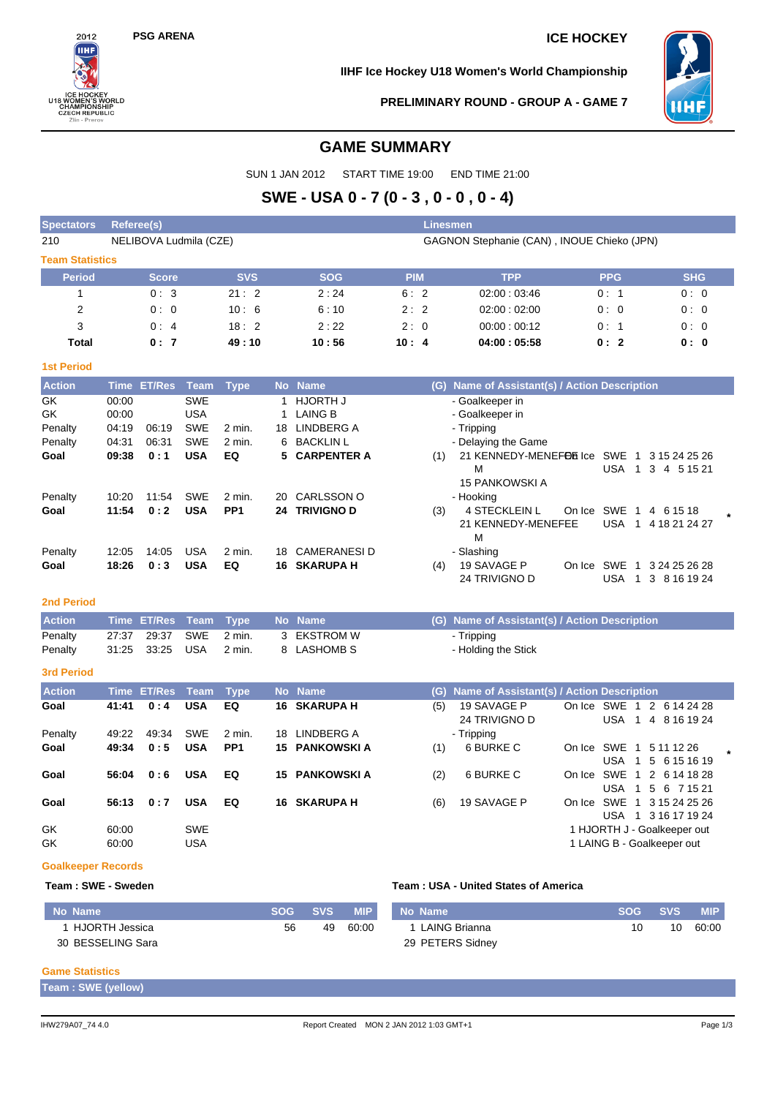$2012$ ÎІН

ICE HOCKEY<br>U18 WOMEN'S WORI<br>CHAMPIONSHIP<br>CZECH REPUBLIC<br>Zlin - Prerov

ORLD

### **PSG ARENA ICE HOCKEY**

**IIHF Ice Hockey U18 Women's World Championship**



**PRELIMINARY ROUND - GROUP A - GAME 7**

### **GAME SUMMARY**

SUN 1 JAN 2012 START TIME 19:00 END TIME 21:00

## **SWE - USA 0 - 7 (0 - 3 , 0 - 0 , 0 - 4)**

| Referee(s)             |            |                        |                                            | Linesmen    |            |            |  |  |  |  |  |  |
|------------------------|------------|------------------------|--------------------------------------------|-------------|------------|------------|--|--|--|--|--|--|
|                        |            |                        | GAGNON Stephanie (CAN), INOUE Chieko (JPN) |             |            |            |  |  |  |  |  |  |
| <b>Team Statistics</b> |            |                        |                                            |             |            |            |  |  |  |  |  |  |
| <b>Score</b>           | <b>SVS</b> | <b>SOG</b>             | <b>PIM</b>                                 | <b>TPP</b>  | <b>PPG</b> | <b>SHG</b> |  |  |  |  |  |  |
| 0:3                    | 21:2       | 2:24                   | 6:2                                        | 02:00:03:46 | 0:1        | 0:0        |  |  |  |  |  |  |
| 0:0                    | 10:6       | 6:10                   | 2:2                                        | 02:00:02:00 | 0:0        | 0:0        |  |  |  |  |  |  |
| 0:4                    | 18:2       | 2:22                   | 2:0                                        | 00:00:00:12 | 0:1        | 0:0        |  |  |  |  |  |  |
| 0:7                    | 49:10      | 10:56                  | 10:4                                       | 04:00:05:58 | 0:2        | 0: 0       |  |  |  |  |  |  |
|                        |            |                        |                                            |             |            |            |  |  |  |  |  |  |
|                        |            | NELIBOVA Ludmila (CZE) |                                            |             |            |            |  |  |  |  |  |  |

| <b>Action</b> |       | Time ET/Res | Team       | Type            |     | No Name             |     | (G) Name of Assistant(s) / Action Description                   |  |  |  |  |  |  |
|---------------|-------|-------------|------------|-----------------|-----|---------------------|-----|-----------------------------------------------------------------|--|--|--|--|--|--|
| GK.           | 00:00 |             | <b>SWE</b> |                 |     | HJORTH J            |     | - Goalkeeper in                                                 |  |  |  |  |  |  |
| GK.           | 00:00 |             | <b>USA</b> |                 |     | LAING B             |     | - Goalkeeper in                                                 |  |  |  |  |  |  |
| Penalty       | 04:19 | 06:19       | <b>SWE</b> | $2$ min.        | 18. | LINDBERG A          |     | - Tripping                                                      |  |  |  |  |  |  |
| Penalty       | 04:31 | 06:31       | <b>SWE</b> | 2 min.          |     | 6 BACKLIN L         |     | - Delaying the Game                                             |  |  |  |  |  |  |
| Goal          | 09:38 | 0:1         | <b>USA</b> | EQ              |     | 5 CARPENTER A       | (1) | 21 KENNEDY-MENEFOR Ice SWE<br>3 15 24 25 26<br>- 1              |  |  |  |  |  |  |
|               |       |             |            |                 |     |                     |     | м<br><b>USA</b><br>3<br>4 5 1 5 21<br>-1                        |  |  |  |  |  |  |
|               |       |             |            |                 |     |                     |     | <b>15 PANKOWSKI A</b>                                           |  |  |  |  |  |  |
| Penalty       | 10:20 | 11:54       | <b>SWE</b> | $2$ min.        |     | 20 CARLSSON O       |     | - Hooking                                                       |  |  |  |  |  |  |
| Goal          | 11:54 | 0:2         | <b>USA</b> | PP <sub>1</sub> |     | 24 TRIVIGNO D       | (3) | <b>4 STECKLEIN L</b><br>On Ice SWE<br>4 6 15 18                 |  |  |  |  |  |  |
|               |       |             |            |                 |     |                     |     | 21 KENNEDY-MENEFEE<br>USA<br>4 18 21 24 27<br>$\overline{1}$    |  |  |  |  |  |  |
|               |       |             |            |                 |     |                     |     | м                                                               |  |  |  |  |  |  |
| Penalty       | 12:05 | 14:05       | <b>USA</b> | $2$ min.        |     | 18 CAMERANESI D     |     | - Slashing                                                      |  |  |  |  |  |  |
| Goal          | 18:26 | 0:3         | <b>USA</b> | EQ              |     | <b>16 SKARUPA H</b> | (4) | 19 SAVAGE P<br>SWE<br>3 24 25 26 28<br>On Ice<br>$\overline{1}$ |  |  |  |  |  |  |
|               |       |             |            |                 |     |                     |     | 24 TRIVIGNO D<br><b>USA</b><br>3 8 16 19 24                     |  |  |  |  |  |  |

#### **2nd Period**

| <b>Action</b> |                            | Time ET/Res Team Type No Name |             | (G) Name of Assistant(s) / Action Description |
|---------------|----------------------------|-------------------------------|-------------|-----------------------------------------------|
| Penalty       | 27:37  29:37  SWE  2  min. |                               | 3 EKSTROM W | - Tripping                                    |
| Penalty       | 31:25 33:25 USA 2 min.     |                               | 8 LASHOMB S | - Holding the Stick                           |

#### **3rd Period**

| <b>Action</b> |       | Time ET/Res Team |            | <b>Type</b>     | No Name               | (G). | Name of Assistant(s) / Action Description |                                                                           |
|---------------|-------|------------------|------------|-----------------|-----------------------|------|-------------------------------------------|---------------------------------------------------------------------------|
| Goal          | 41:41 | 0:4              | <b>USA</b> | EQ              | <b>16 SKARUPA H</b>   | (5)  | 19 SAVAGE P<br>24 TRIVIGNO D              | On Ice SWE 1 2 6 14 24 28<br><b>USA</b><br>4 8 16 19 24<br>$\overline{1}$ |
| Penalty       | 49:22 | 49:34            | SWE        | 2 min.          | 18 LINDBERG A         |      | - Tripping                                |                                                                           |
| Goal          | 49:34 | 0:5              | <b>USA</b> | PP <sub>1</sub> | <b>15 PANKOWSKI A</b> | (1)  | 6 BURKE C                                 | On Ice SWE 1 5 11 12 26<br>USA 1 5 6 15 16 19                             |
| Goal          | 56:04 | 0:6              | <b>USA</b> | EQ              | <b>15 PANKOWSKI A</b> | (2)  | 6 BURKE C                                 | On Ice SWE 1 2 6 14 18 28<br>USA<br>5 6 7 15 21<br>$\overline{1}$         |
| Goal          | 56:13 | 0:7              | <b>USA</b> | EQ              | <b>16 SKARUPA H</b>   | (6)  | 19 SAVAGE P                               | On Ice SWE 1 3 15 24 25 26<br>USA<br>1 3 16 17 19 24                      |
| GK            | 60:00 |                  | <b>SWE</b> |                 |                       |      |                                           | 1 HJORTH J - Goalkeeper out                                               |
| GK            | 60:00 |                  | <b>USA</b> |                 |                       |      |                                           | 1 LAING B - Goalkeeper out                                                |

#### **Goalkeeper Records**

#### **Team : SWE - Sweden Team : USA - United States of America**

| No Name           | <b>SOG</b> | <b>SVS</b> | <b>MIP</b> | No Name          | SOG | $\sim$ SVS $\sim$ | <b>MIP</b> |
|-------------------|------------|------------|------------|------------------|-----|-------------------|------------|
| HJORTH Jessica    | 56         | 49         | 60:00      | LAING Brianna    |     | 10                | 60:00      |
| 30 BESSELING Sara |            |            |            | 29 PETERS Sidney |     |                   |            |

#### **Game Statistics**

| Team: SWE (yellow) |
|--------------------|
|--------------------|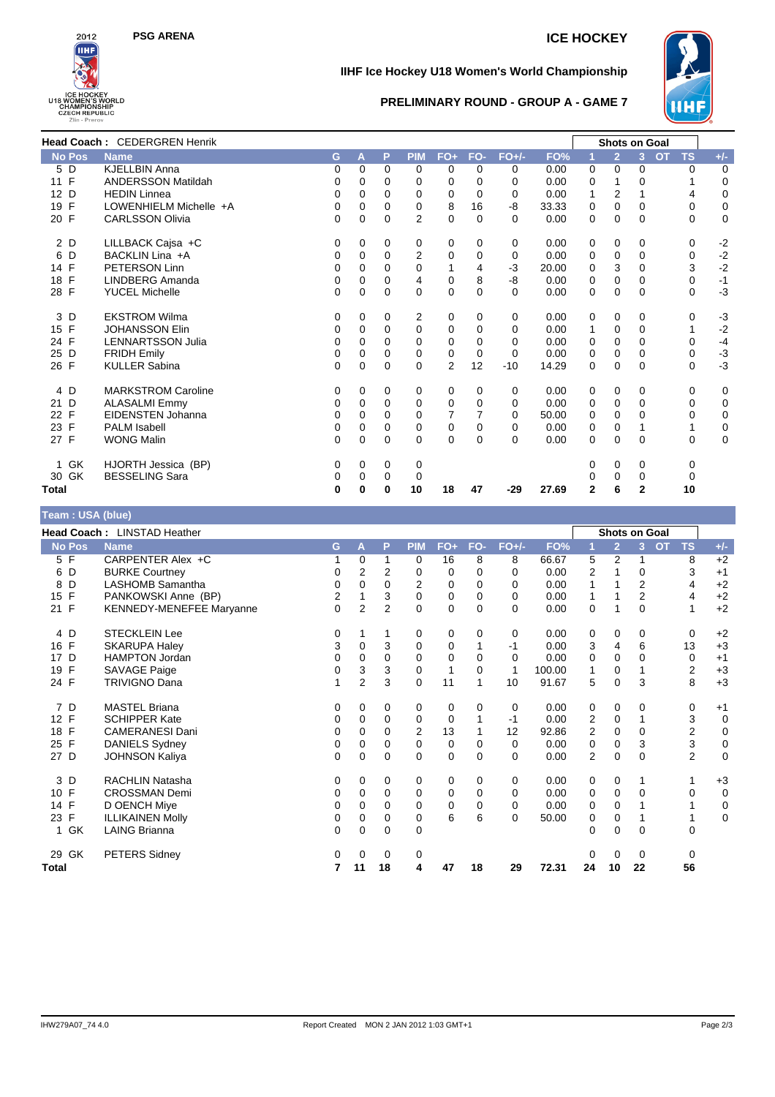

# **PSG ARENA ICE HOCKEY**

### **IIHF Ice Hockey U18 Women's World Championship**



### **PRELIMINARY ROUND - GROUP A - GAME 7**

|                    | Head Coach: CEDERGREN Henrik |          |          |             |                |                |          |         |       |              | <b>Shots on Goal</b> |                |                        |              |
|--------------------|------------------------------|----------|----------|-------------|----------------|----------------|----------|---------|-------|--------------|----------------------|----------------|------------------------|--------------|
| No Pos             | <b>Name</b>                  | G        | A        | P           | <b>PIM</b>     | $FO+$          | FO-      | $FO+/-$ | FO%   |              | $\overline{2}$       | $\overline{3}$ | <b>TS</b><br><b>OT</b> | $+/-$        |
| 5 D                | <b>KJELLBIN Anna</b>         | 0        | 0        | $\Omega$    | $\Omega$       | $\Omega$       | $\Omega$ | 0       | 0.00  | $\Omega$     | $\Omega$             | 0              | $\Omega$               | 0            |
| $\mathsf{F}$<br>11 | <b>ANDERSSON Matildah</b>    | 0        | 0        | $\Omega$    | 0              | 0              | $\Omega$ | 0       | 0.00  | 0            | 1                    | 0              |                        | 0            |
| 12 D               | <b>HEDIN Linnea</b>          | 0        | 0        | 0           | 0              | 0              | $\Omega$ | 0       | 0.00  |              | $\overline{2}$       |                | 4                      | $\mathbf 0$  |
| $\mathsf{F}$<br>19 | LOWENHIELM Michelle +A       | 0        | 0        | $\Omega$    | 0              | 8              | 16       | -8      | 33.33 | 0            | $\mathbf 0$          | 0              | 0                      | $\pmb{0}$    |
| 20 F               | <b>CARLSSON Olivia</b>       | 0        | 0        | $\Omega$    | 2              | $\mathbf 0$    | $\Omega$ | 0       | 0.00  | 0            | $\mathbf 0$          | $\Omega$       | $\mathbf 0$            | $\mathbf 0$  |
| 2 D                | LILLBACK Cajsa +C            | 0        | 0        | 0           | 0              | 0              | 0        | 0       | 0.00  | 0            | 0                    | 0              | 0                      | $-2$         |
| D<br>6             | BACKLIN Lina +A              | 0        | 0        | $\Omega$    | $\overline{2}$ | 0              | $\Omega$ | 0       | 0.00  | 0            | 0                    | 0              | 0                      |              |
| 14 F               | PETERSON Linn                | 0        | 0        | $\Omega$    | 0              | 1              | 4        | $-3$    | 20.00 | 0            | 3                    | 0              | 3                      | $-2$<br>$-2$ |
| F<br>18            | LINDBERG Amanda              | 0        | 0        | $\Omega$    | 4              | 0              | 8        | -8      | 0.00  | 0            | $\mathbf 0$          | 0              | 0                      | $-1$         |
| 28 F               | <b>YUCEL Michelle</b>        | $\Omega$ | $\Omega$ | $\Omega$    | $\Omega$       | $\mathbf 0$    | $\Omega$ | 0       | 0.00  | 0            | $\Omega$             | 0              | $\Omega$               | $-3$         |
| D<br>3             | <b>EKSTROM Wilma</b>         | 0        | 0        | 0           | 2              | 0              | 0        | 0       | 0.00  | 0            | 0                    | 0              | 0                      | $-3$         |
| $\mathsf{F}$<br>15 | <b>JOHANSSON Elin</b>        | 0        | 0        | $\Omega$    | $\mathbf 0$    | $\mathbf 0$    | $\Omega$ | 0       | 0.00  | 1            | 0                    | 0              | 1                      | $-2$         |
| 24 F               | <b>LENNARTSSON Julia</b>     | 0        | 0        | 0           | 0              | 0              | 0        | 0       | 0.00  | 0            | $\Omega$             | 0              | 0                      | $-4$         |
| D<br>25            | <b>FRIDH Emily</b>           | 0        | 0        | $\Omega$    | $\Omega$       | $\mathbf 0$    | $\Omega$ | 0       | 0.00  | 0            | $\mathbf 0$          | $\Omega$       | 0                      | $-3$         |
| 26 F               | <b>KULLER Sabina</b>         | 0        | 0        | $\mathbf 0$ | 0              | $\overline{2}$ | 12       | $-10$   | 14.29 | 0            | $\mathbf 0$          | 0              | 0                      | $-3$         |
| 4 D                | <b>MARKSTROM Caroline</b>    | 0        | 0        | 0           | 0              | 0              | $\Omega$ | 0       | 0.00  | 0            | 0                    | 0              | 0                      | 0            |
| 21 D               | <b>ALASALMI Emmy</b>         | 0        | 0        | $\Omega$    | 0              | 0              | $\Omega$ | 0       | 0.00  | 0            | 0                    | 0              | 0                      | $\mathbf 0$  |
| $\mathsf{F}$<br>22 | <b>EIDENSTEN Johanna</b>     | 0        | 0        | 0           | 0              | 7              |          | 0       | 50.00 | 0            | $\mathbf 0$          | 0              | 0                      | $\mathbf 0$  |
| 23 F               | <b>PALM Isabell</b>          | 0        | 0        | $\Omega$    | 0              | $\mathbf 0$    | 0        | 0       | 0.00  | 0            | 0                    |                | 1                      | $\mathbf 0$  |
| 27 F               | <b>WONG Malin</b>            | 0        | 0        | $\Omega$    | $\Omega$       | $\Omega$       | $\Omega$ | 0       | 0.00  | $\Omega$     | $\Omega$             | $\Omega$       | 0                      | $\mathbf 0$  |
| GK<br>1.           | HJORTH Jessica (BP)          | 0        | 0        | 0           | 0              |                |          |         |       | 0            | 0                    | 0              | 0                      |              |
| 30 GK              | <b>BESSELING Sara</b>        | 0        | 0        | 0           | 0              |                |          |         |       |              | 0                    | 0              | 0                      |              |
| Total              |                              | 0        | 0        | $\bf{0}$    | 10             | 18             | 47       | $-29$   | 27.69 | $\mathbf{2}$ | 6                    | $\mathbf{2}$   | 10                     |              |

| Team: USA (blue)   |                                 |   |                |                |             |              |             |          |        |                |                |                |                        |             |
|--------------------|---------------------------------|---|----------------|----------------|-------------|--------------|-------------|----------|--------|----------------|----------------|----------------|------------------------|-------------|
|                    |                                 |   |                |                |             |              |             |          |        |                |                |                |                        |             |
|                    | Head Coach: LINSTAD Heather     |   |                |                |             |              |             |          |        |                | Shots on Goal  |                |                        |             |
| <b>No Pos</b>      | <b>Name</b>                     | G | A              | P              | <b>PIM</b>  | $FO+$        | FO-         | $FO+/-$  | FO%    |                | $\overline{2}$ | 3              | <b>OT</b><br><b>TS</b> | $+/-$       |
| 5 F                | CARPENTER Alex +C               |   | 0              |                | 0           | 16           | 8           | 8        | 66.67  | 5              | $\overline{2}$ | 1              | 8                      | $+2$        |
| D<br>6             | <b>BURKE Courtney</b>           | 0 | 2              | 2              | 0           | 0            | 0           | $\Omega$ | 0.00   | 2              |                | 0              | 3                      | $+1$        |
| D<br>8             | <b>LASHOMB Samantha</b>         | 0 | $\Omega$       | $\Omega$       | 2           | $\mathbf 0$  | $\Omega$    | $\Omega$ | 0.00   | 1              |                | $\overline{2}$ | 4                      | $+2$        |
| F<br>15            | PANKOWSKI Anne (BP)             | 2 |                | 3              | $\mathbf 0$ | 0            | $\mathbf 0$ | 0        | 0.00   | 1              |                | $\overline{2}$ | 4                      | $+2$        |
| 21 F               | <b>KENNEDY-MENEFEE Maryanne</b> | 0 | $\overline{2}$ | $\overline{2}$ | $\Omega$    | $\Omega$     | $\Omega$    | $\Omega$ | 0.00   | 0              | 1              | $\Omega$       | 1                      | $+2$        |
| D<br>4             | <b>STECKLEIN Lee</b>            | 0 |                |                | 0           | 0            | 0           | 0        | 0.00   | 0              | 0              | 0              | 0                      | $+2$        |
| $\mathsf{F}$<br>16 | <b>SKARUPA Haley</b>            | 3 | 0              | 3              | $\mathbf 0$ | 0            |             | -1       | 0.00   | 3              | 4              | 6              | 13                     | $+3$        |
| 17 D               | <b>HAMPTON Jordan</b>           | 0 | $\Omega$       | $\Omega$       | 0           | $\mathbf 0$  | $\Omega$    | $\Omega$ | 0.00   | 0              | $\Omega$       | $\Omega$       | 0                      | $+1$        |
| F<br>19            | SAVAGE Paige                    | 0 | 3              | 3              | 0           | $\mathbf{1}$ | 0           | 1        | 100.00 | 1              | 0              |                | $\overline{2}$         | $+3$        |
| 24 F               | <b>TRIVIGNO Dana</b>            | 1 | $\overline{2}$ | 3              | $\Omega$    | 11           | 1           | 10       | 91.67  | 5              | $\Omega$       | 3              | 8                      | $+3$        |
| 7 D                | <b>MASTEL Briana</b>            | 0 | 0              | 0              | 0           | 0            | 0           | 0        | 0.00   | 0              | 0              | 0              | 0                      | $+1$        |
| 12 F               | <b>SCHIPPER Kate</b>            | 0 | 0              | $\mathbf 0$    | 0           | $\mathbf 0$  |             | $-1$     | 0.00   | $\overline{2}$ | $\mathbf 0$    | 1              | 3                      | $\mathbf 0$ |
| $\mathsf{F}$<br>18 | <b>CAMERANESI Dani</b>          | 0 | $\Omega$       | 0              | 2           | 13           |             | 12       | 92.86  | $\overline{2}$ | $\Omega$       | $\Omega$       | $\overline{2}$         | $\pmb{0}$   |
| 25 F               | <b>DANIELS Sydney</b>           | 0 | 0              | 0              | 0           | 0            | 0           | 0        | 0.00   | 0              | $\mathbf 0$    | 3              | 3                      | $\pmb{0}$   |
| 27 D               | <b>JOHNSON Kaliya</b>           | 0 | $\Omega$       | $\Omega$       | $\Omega$    | $\Omega$     | $\Omega$    | $\Omega$ | 0.00   | $\overline{2}$ | $\Omega$       | $\Omega$       | $\overline{2}$         | $\mathbf 0$ |
| 3<br>D             | <b>RACHLIN Natasha</b>          | 0 | 0              | 0              | 0           | 0            | 0           | 0        | 0.00   | 0              | 0              | 1              | 1                      | $+3$        |
| 10 F               | <b>CROSSMAN Demi</b>            | 0 | 0              | $\mathbf 0$    | 0           | 0            | 0           | 0        | 0.00   | 0              | 0              | 0              | 0                      | $\mathbf 0$ |
| 14 F               | D OENCH Miye                    | 0 | $\Omega$       | 0              | $\Omega$    | $\mathbf 0$  | $\Omega$    | $\Omega$ | 0.00   | $\Omega$       | $\Omega$       |                | 1                      | $\mathbf 0$ |
| 23 F               | <b>ILLIKAINEN Molly</b>         | 0 | 0              | 0              | 0           | 6            | 6           | $\Omega$ | 50.00  | 0              | $\mathbf 0$    |                | 1                      | $\mathbf 0$ |
| GK<br>$\mathbf{1}$ | <b>LAING Brianna</b>            | 0 | $\Omega$       | $\Omega$       | $\Omega$    |              |             |          |        | $\Omega$       | $\Omega$       | $\Omega$       | $\Omega$               |             |
| GK<br>29           | <b>PETERS Sidney</b>            | 0 | $\Omega$       | $\mathbf 0$    | 0           |              |             |          |        | 0              | 0              | 0              | $\mathbf 0$            |             |
| Total              |                                 | 7 | 11             | 18             | 4           | 47           | 18          | 29       | 72.31  | 24             | 10             | 22             | 56                     |             |